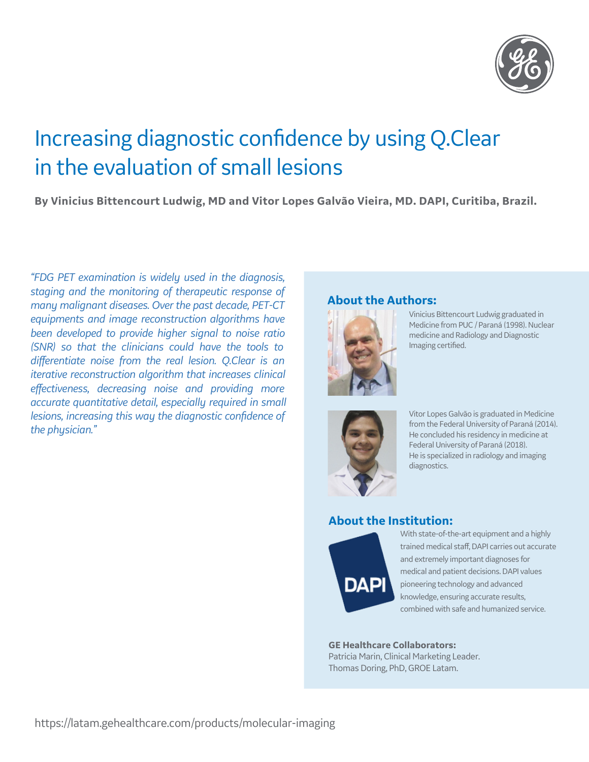

# Increasing diagnostic confidence by using Q.Clear in the evaluation of small lesions

**By Vinicius Bittencourt Ludwig, MD and Vitor Lopes Galvão Vieira, MD. DAPI, Curitiba, Brazil.** 

*"FDG PET examination is widely used in the diagnosis, staging and the monitoring of therapeutic response of many malignant diseases. Over the past decade, PET-CT equipments and image reconstruction algorithms have been developed to provide higher signal to noise ratio (SNR) so that the clinicians could have the tools to*  differentiate noise from the real lesion. Q.Clear is an *iterative reconstruction algorithm that increases clinical effectiveness, decreasing noise and providing more accurate quantitative detail, especially required in small lesions, increasing this way the diagnostic confidence of the physician."*

#### **About the Authors:**



Vinicius Bittencourt Ludwig graduated in Medicine from PUC / Paraná (1998). Nuclear medicine and Radiology and Diagnostic Imaging certified.



Vitor Lopes Galvão is graduated in Medicine from the Federal University of Paraná (2014). He concluded his residency in medicine at Federal University of Paraná (2018). He is specialized in radiology and imaging diagnostics.

## **About the Institution:**



With state-of-the-art equipment and a highly trained medical staff, DAPI carries out accurate and extremely important diagnoses for medical and patient decisions. DAPI values pioneering technology and advanced knowledge, ensuring accurate results, combined with safe and humanized service.

**GE Healthcare Collaborators:** Patricia Marin, Clinical Marketing Leader. Thomas Doring, PhD, GROE Latam.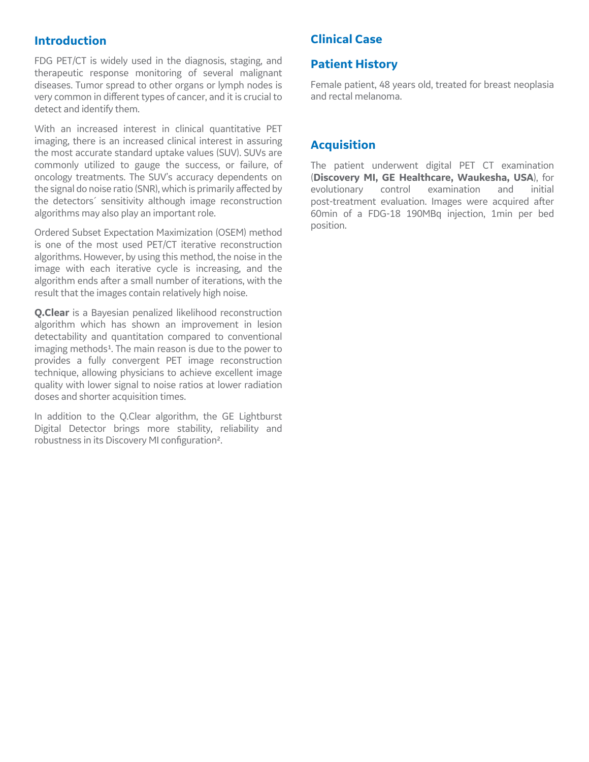### **Introduction**

FDG PET/CT is widely used in the diagnosis, staging, and therapeutic response monitoring of several malignant diseases. Tumor spread to other organs or lymph nodes is very common in different types of cancer, and it is crucial to detect and identify them.

With an increased interest in clinical quantitative PET imaging, there is an increased clinical interest in assuring the most accurate standard uptake values (SUV). SUVs are commonly utilized to gauge the success, or failure, of oncology treatments. The SUV's accuracy dependents on the signal do noise ratio (SNR), which is primarily affected by the detectors´ sensitivity although image reconstruction algorithms may also play an important role.

Ordered Subset Expectation Maximization (OSEM) method is one of the most used PET/CT iterative reconstruction algorithms. However, by using this method, the noise in the image with each iterative cycle is increasing, and the algorithm ends after a small number of iterations, with the result that the images contain relatively high noise.

**Q.Clear** is a Bayesian penalized likelihood reconstruction algorithm which has shown an improvement in lesion detectability and quantitation compared to conventional imaging methods<sup>1</sup>. The main reason is due to the power to provides a fully convergent PET image reconstruction technique, allowing physicians to achieve excellent image quality with lower signal to noise ratios at lower radiation doses and shorter acquisition times.

In addition to the Q.Clear algorithm, the GE Lightburst Digital Detector brings more stability, reliability and robustness in its Discovery MI configuration².

## **Clinical Case**

## **Patient History**

Female patient, 48 years old, treated for breast neoplasia and rectal melanoma.

## **Acquisition**

The patient underwent digital PET CT examination (**Discovery MI, GE Healthcare, Waukesha, USA**), for evolutionary control examination and initial post-treatment evaluation. Images were acquired after 60min of a FDG-18 190MBq injection, 1min per bed position.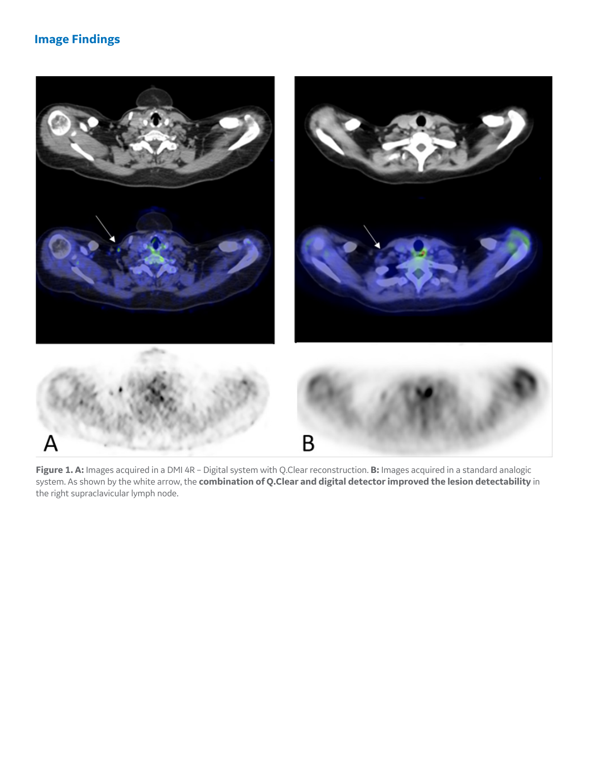## **Image Findings**



**Figure 1. A:** Images acquired in a DMI 4R – Digital system with Q.Clear reconstruction. **B:** Images acquired in a standard analogic system. As shown by the white arrow, the **combination of Q.Clear and digital detector improved the lesion detectability** in the right supraclavicular lymph node.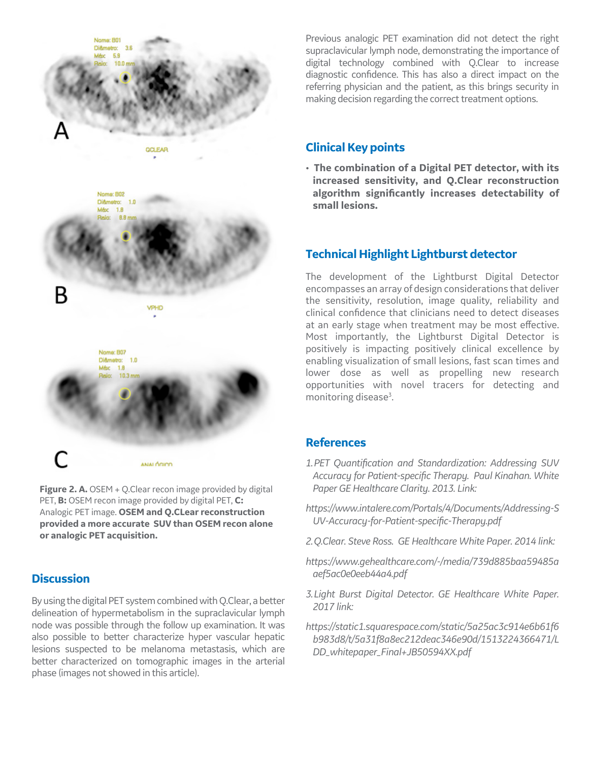

**Figure 2. A.** OSEM + Q. Clear recon image provided by digital PET, **B:** OSEM recon image provided by digital PET, **C:** Analogic PET image. **OSEM and Q.CLear reconstruction provided a more accurate SUV than OSEM recon alone or analogic PET acquisition.**

#### **Discussion**

By using the digital PET system combined with Q.Clear, a better delineation of hypermetabolism in the supraclavicular lymph node was possible through the follow up examination. It was also possible to better characterize hyper vascular hepatic lesions suspected to be melanoma metastasis, which are better characterized on tomographic images in the arterial phase (images not showed in this article).

Previous analogic PET examination did not detect the right supraclavicular lymph node, demonstrating the importance of digital technology combined with Q.Clear to increase diagnostic confidence. This has also a direct impact on the referring physician and the patient, as this brings security in making decision regarding the correct treatment options.

## **Clinical Key points**

• **The combination of a Digital PET detector, with its increased sensitivity, and Q.Clear reconstruction algorithm signicantly increases detectability of small lesions.**

## **Technical Highlight Lightburst detector**

The development of the Lightburst Digital Detector encompasses an array of design considerations that deliver the sensitivity, resolution, image quality, reliability and clinical confidence that clinicians need to detect diseases at an early stage when treatment may be most effective. Most importantly, the Lightburst Digital Detector is positively is impacting positively clinical excellence by enabling visualization of small lesions, fast scan times and lower dose as well as propelling new research opportunities with novel tracers for detecting and monitoring disease<sup>3</sup>. .

#### **References**

- *1. PET Quantication and Standardization: Addressing SUV*  Accuracy for Patient-specific Therapy. Paul Kinahan. White *Paper GE Healthcare Clarity. 2013. Link:*
- *https://www.intalere.com/Portals/4/Documents/Addressing-S* UV-Accuracy-for-Patient-specific-Therapy.pdf
- *2. Q.Clear. Steve Ross. GE Healthcare White Paper. 2014 link:*
- *https://www.gehealthcare.com/-/media/739d885baa59485a aef5ac0e0eeb44a4.pdf*
- *3. Light Burst Digital Detector. GE Healthcare White Paper. 2017 link:*
- *https://static1.squarespace.com/static/5a25ac3c914e6b61f6 b983d8/t/5a31f8a8ec212deac346e90d/1513224366471/L DD\_whitepaper\_Final+JB50594XX.pdf*